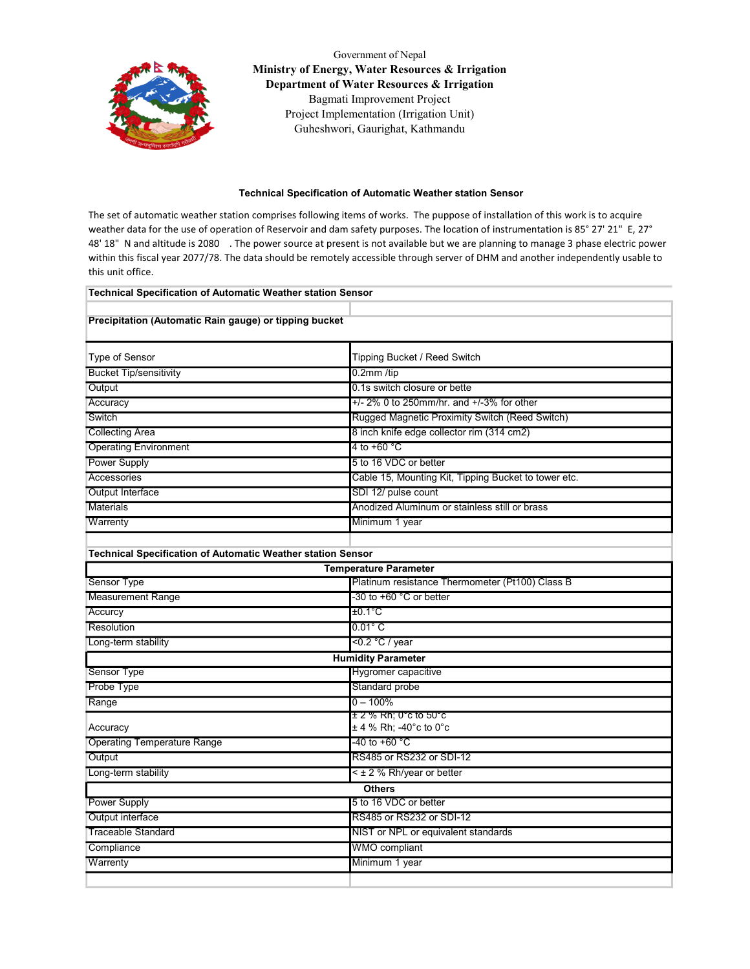

Government of Nepal Ministry of Energy, Water Resources & Irrigation Department of Water Resources & Irrigation Bagmati Improvement Project Project Implementation (Irrigation Unit) Guheshwori, Gaurighat, Kathmandu

## Technical Specification of Automatic Weather station Sensor

The set of automatic weather station comprises following items of works. The puppose of installation of this work is to acquire weather data for the use of operation of Reservoir and dam safety purposes. The location of instrumentation is 85° 27' 21" E, 27° 48' 18" N and altitude is 2080 . The power source at present is not available but we are planning to manage 3 phase electric power within this fiscal year 2077/78. The data should be remotely accessible through server of DHM and another independently usable to this unit office.

| Technical Specification of Automatic Weather station Sensor<br>Precipitation (Automatic Rain gauge) or tipping bucket |                                                      |  |                               |                              |
|-----------------------------------------------------------------------------------------------------------------------|------------------------------------------------------|--|-------------------------------|------------------------------|
|                                                                                                                       |                                                      |  | Type of Sensor                | Tipping Bucket / Reed Switch |
|                                                                                                                       |                                                      |  | <b>Bucket Tip/sensitivity</b> | 0.2mm /tip                   |
| Output                                                                                                                | 0.1s switch closure or bette                         |  |                               |                              |
| Accuracy                                                                                                              | $+/- 2\%$ 0 to 250mm/hr. and $+/-3\%$ for other      |  |                               |                              |
| Switch                                                                                                                | Rugged Magnetic Proximity Switch (Reed Switch)       |  |                               |                              |
| <b>Collecting Area</b>                                                                                                | 8 inch knife edge collector rim (314 cm2)            |  |                               |                              |
| <b>Operating Environment</b>                                                                                          | 4 to +60 $^{\circ}$ C                                |  |                               |                              |
| <b>Power Supply</b>                                                                                                   | 5 to 16 VDC or better                                |  |                               |                              |
| Accessories                                                                                                           | Cable 15, Mounting Kit, Tipping Bucket to tower etc. |  |                               |                              |
| Output Interface                                                                                                      | SDI 12/ pulse count                                  |  |                               |                              |
| <b>Materials</b>                                                                                                      | Anodized Aluminum or stainless still or brass        |  |                               |                              |
| Warrenty                                                                                                              | Minimum 1 year                                       |  |                               |                              |
|                                                                                                                       |                                                      |  |                               |                              |
| <b>Technical Specification of Automatic Weather station Sensor</b>                                                    |                                                      |  |                               |                              |
|                                                                                                                       | <b>Temperature Parameter</b>                         |  |                               |                              |
| Sensor Type                                                                                                           | Platinum resistance Thermometer (Pt100) Class B      |  |                               |                              |
| <b>Measurement Range</b>                                                                                              | -30 to +60 °C or better                              |  |                               |                              |
| Accurcy                                                                                                               | $±0.1^{\circ}$ C                                     |  |                               |                              |
| Resolution                                                                                                            | $0.01^\circ$ C                                       |  |                               |                              |
| Long-term stability                                                                                                   | <0.2 °C / year                                       |  |                               |                              |
| <b>Humidity Parameter</b>                                                                                             |                                                      |  |                               |                              |
| Sensor Type                                                                                                           | Hygromer capacitive                                  |  |                               |                              |
| Probe Type                                                                                                            | Standard probe                                       |  |                               |                              |
| Range                                                                                                                 | $0 - 100%$                                           |  |                               |                              |
| Accuracy                                                                                                              | ± 2 % Rh; 0°c to 50°c<br>± 4 % Rh; -40°c to 0°c      |  |                               |                              |
| <b>Operating Temperature Range</b>                                                                                    | -40 to +60 °C                                        |  |                               |                              |
| Output                                                                                                                | RS485 or RS232 or SDI-12                             |  |                               |                              |
| Long-term stability                                                                                                   | $\leq$ ± 2 % Rh/year or better                       |  |                               |                              |
|                                                                                                                       | <b>Others</b>                                        |  |                               |                              |
| <b>Power Supply</b>                                                                                                   | 5 to 16 VDC or better                                |  |                               |                              |
| Output interface                                                                                                      | RS485 or RS232 or SDI-12                             |  |                               |                              |
| <b>Traceable Standard</b>                                                                                             | NIST or NPL or equivalent standards                  |  |                               |                              |
| Compliance                                                                                                            | WMO compliant                                        |  |                               |                              |
| Warrenty                                                                                                              | Minimum 1 year                                       |  |                               |                              |
|                                                                                                                       |                                                      |  |                               |                              |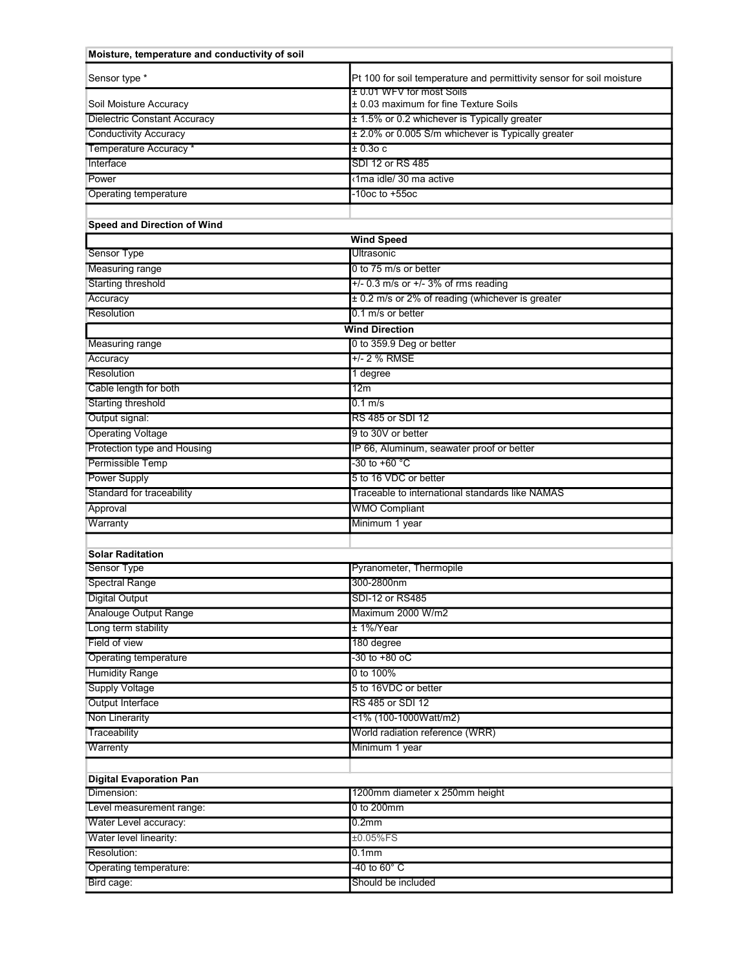| Moisture, temperature and conductivity of soil |                                                                       |  |
|------------------------------------------------|-----------------------------------------------------------------------|--|
| Sensor type *                                  | Pt 100 for soil temperature and permittivity sensor for soil moisture |  |
| Soil Moisture Accuracy                         | ± 0.01 WFV for most Soils<br>± 0.03 maximum for fine Texture Soils    |  |
| <b>Dielectric Constant Accuracy</b>            | ± 1.5% or 0.2 whichever is Typically greater                          |  |
| <b>Conductivity Accuracy</b>                   | ± 2.0% or 0.005 S/m whichever is Typically greater                    |  |
| Temperature Accuracy *                         | ± 0.3о с                                                              |  |
| Interface                                      | SDI 12 or RS 485                                                      |  |
| Power                                          | ∢1ma idle/ 30 ma active                                               |  |
| <b>Operating temperature</b>                   | -10oc to +55oc                                                        |  |
|                                                |                                                                       |  |
| <b>Speed and Direction of Wind</b>             |                                                                       |  |
|                                                | <b>Wind Speed</b>                                                     |  |
| <b>Sensor Type</b>                             | Ultrasonic                                                            |  |
| <b>Measuring range</b>                         | 0 to 75 m/s or better                                                 |  |
| Starting threshold                             | $+/-$ 0.3 m/s or $+/-$ 3% of rms reading                              |  |
| Accuracy                                       | ± 0.2 m/s or 2% of reading (whichever is greater                      |  |
| Resolution                                     | 0.1 m/s or better                                                     |  |
| <b>Wind Direction</b>                          |                                                                       |  |
| <b>Measuring range</b>                         | 0 to 359.9 Deg or better                                              |  |
| Accuracy                                       | +/- 2 % RMSE                                                          |  |
| Resolution                                     | 1 degree                                                              |  |
| Cable length for both                          | 12m                                                                   |  |
| <b>Starting threshold</b>                      | $0.1$ m/s                                                             |  |
| Output signal:                                 | RS 485 or SDI 12                                                      |  |
| <b>Operating Voltage</b>                       | 9 to 30V or better                                                    |  |
| Protection type and Housing                    | IP 66, Aluminum, seawater proof or better                             |  |
| Permissible Temp                               | -30 to +60 °C                                                         |  |
| <b>Power Supply</b>                            | 5 to 16 VDC or better                                                 |  |
| Standard for traceability                      | Traceable to international standards like NAMAS                       |  |
| Approval                                       | <b>WMO Compliant</b>                                                  |  |
| Warranty                                       | Minimum 1 year                                                        |  |
|                                                |                                                                       |  |
| <b>Solar Raditation</b>                        |                                                                       |  |
| <b>Sensor Type</b>                             | Pyranometer, Thermopile                                               |  |
| <b>Spectral Range</b>                          | 300-2800nm                                                            |  |
| <b>Digital Output</b>                          | SDI-12 or RS485                                                       |  |
| Analouge Output Range                          | Maximum 2000 W/m2                                                     |  |
| Long term stability                            | ± 1%/Year                                                             |  |
| Field of view                                  | 180 degree                                                            |  |
| Operating temperature                          | $-30$ to $+80$ oC                                                     |  |
| <b>Humidity Range</b>                          | 0 to 100%                                                             |  |
| <b>Supply Voltage</b>                          | 5 to 16VDC or better                                                  |  |
| Output Interface                               | RS 485 or SDI 12                                                      |  |
| Non Linerarity                                 | <1% (100-1000Watt/m2)                                                 |  |
| Traceability                                   | World radiation reference (WRR)                                       |  |
| Warrenty                                       | Minimum 1 year                                                        |  |
|                                                |                                                                       |  |
| <b>Digital Evaporation Pan</b>                 |                                                                       |  |
| Dimension:                                     | 1200mm diameter x 250mm height                                        |  |
| Level measurement range:                       | 0 to 200mm                                                            |  |
| Water Level accuracy:                          | 0.2 <sub>mm</sub>                                                     |  |
| Water level linearity:                         | ±0.05%FS                                                              |  |
| Resolution:                                    | 0.1 <sub>mm</sub>                                                     |  |
| Operating temperature:                         | -40 to 60° C                                                          |  |
| Bird cage:                                     | Should be included                                                    |  |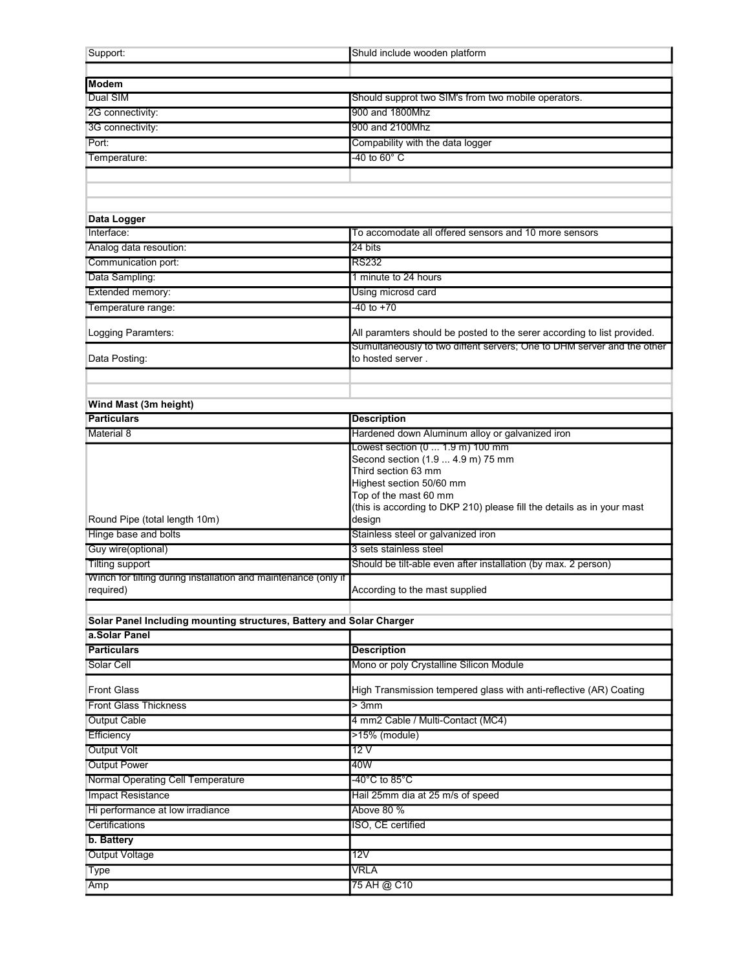| Support:                                                                                 | Shuld include wooden platform                                           |  |  |
|------------------------------------------------------------------------------------------|-------------------------------------------------------------------------|--|--|
|                                                                                          |                                                                         |  |  |
| <b>Modem</b>                                                                             |                                                                         |  |  |
| Dual SIM                                                                                 | Should supprot two SIM's from two mobile operators.                     |  |  |
| 2G connectivity:                                                                         | 900 and 1800Mhz                                                         |  |  |
| 3G connectivity:                                                                         | 900 and 2100Mhz                                                         |  |  |
| Port:                                                                                    | Compability with the data logger                                        |  |  |
| Temperature:                                                                             | -40 to 60° C                                                            |  |  |
|                                                                                          |                                                                         |  |  |
|                                                                                          |                                                                         |  |  |
|                                                                                          |                                                                         |  |  |
| Data Logger                                                                              |                                                                         |  |  |
| Interface:                                                                               | To accomodate all offered sensors and 10 more sensors                   |  |  |
| Analog data resoution:                                                                   | 24 bits                                                                 |  |  |
| Communication port:                                                                      | <b>RS232</b>                                                            |  |  |
| Data Sampling:                                                                           | 1 minute to 24 hours                                                    |  |  |
| Extended memory:                                                                         | Using microsd card                                                      |  |  |
| Temperature range:                                                                       | -40 to +70                                                              |  |  |
|                                                                                          |                                                                         |  |  |
| Logging Paramters:                                                                       | All paramters should be posted to the serer according to list provided. |  |  |
|                                                                                          | Sumultaneously to two diffent servers; One to DHM server and the other  |  |  |
| Data Posting:                                                                            | to hosted server.                                                       |  |  |
|                                                                                          |                                                                         |  |  |
|                                                                                          |                                                                         |  |  |
| Wind Mast (3m height)                                                                    |                                                                         |  |  |
| <b>Particulars</b>                                                                       | <b>Description</b>                                                      |  |  |
| <b>Material 8</b>                                                                        | Hardened down Aluminum alloy or galvanized iron                         |  |  |
|                                                                                          | Lowest section (0  1.9 m) 100 mm                                        |  |  |
|                                                                                          | Second section (1.9  4.9 m) 75 mm<br>Third section 63 mm                |  |  |
|                                                                                          | Highest section 50/60 mm                                                |  |  |
|                                                                                          | Top of the mast 60 mm                                                   |  |  |
|                                                                                          | (this is according to DKP 210) please fill the details as in your mast  |  |  |
| Round Pipe (total length 10m)                                                            | design                                                                  |  |  |
| Hinge base and bolts                                                                     | Stainless steel or galvanized iron                                      |  |  |
| Guy wire(optional)                                                                       | 3 sets stainless steel                                                  |  |  |
| <b>Tilting support</b><br>Winch for tilting during installation and maintenance (only if | Should be tilt-able even after installation (by max. 2 person)          |  |  |
| required)                                                                                | According to the mast supplied                                          |  |  |
|                                                                                          |                                                                         |  |  |
| Solar Panel Including mounting structures, Battery and Solar Charger                     |                                                                         |  |  |
| a.Solar Panel                                                                            |                                                                         |  |  |
| <b>Particulars</b>                                                                       | <b>Description</b>                                                      |  |  |
| Solar Cell                                                                               | Mono or poly Crystalline Silicon Module                                 |  |  |
|                                                                                          |                                                                         |  |  |
| <b>Front Glass</b>                                                                       | High Transmission tempered glass with anti-reflective (AR) Coating      |  |  |
| <b>Front Glass Thickness</b>                                                             | $>3$ mm                                                                 |  |  |
| <b>Output Cable</b>                                                                      | 4 mm2 Cable / Multi-Contact (MC4)                                       |  |  |
| Efficiency                                                                               | >15% (module)                                                           |  |  |
| <b>Output Volt</b>                                                                       | 12V                                                                     |  |  |
| <b>Output Power</b>                                                                      | 40W                                                                     |  |  |
| Normal Operating Cell Temperature                                                        | -40°C to 85°C                                                           |  |  |
| <b>Impact Resistance</b>                                                                 | Hail 25mm dia at 25 m/s of speed                                        |  |  |
| Hi performance at low irradiance                                                         | Above 80 %                                                              |  |  |
| Certifications                                                                           | ISO, CE certified                                                       |  |  |
| b. Battery                                                                               |                                                                         |  |  |
| Output Voltage                                                                           | 12V                                                                     |  |  |
| Type                                                                                     | VRLA                                                                    |  |  |
| Amp                                                                                      | 75 AH @ C10                                                             |  |  |
|                                                                                          |                                                                         |  |  |